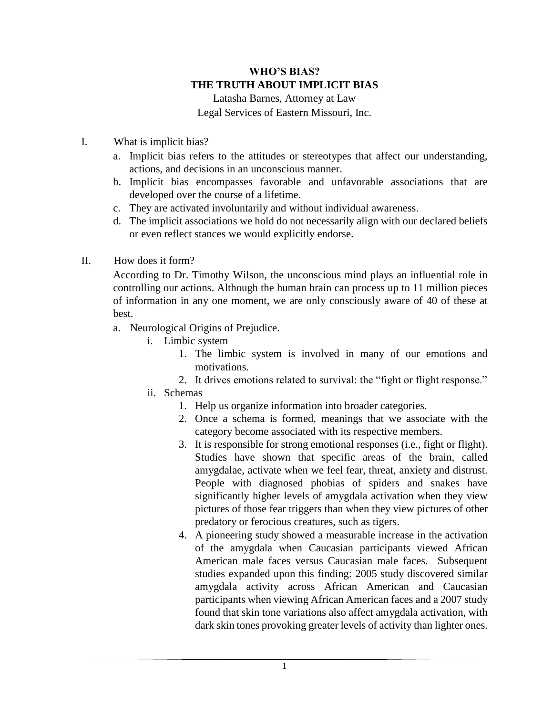## **WHO'S BIAS? THE TRUTH ABOUT IMPLICIT BIAS**

Latasha Barnes, Attorney at Law Legal Services of Eastern Missouri, Inc.

- I. What is implicit bias?
	- a. Implicit bias refers to the attitudes or stereotypes that affect our understanding, actions, and decisions in an unconscious manner.
	- b. Implicit bias encompasses favorable and unfavorable associations that are developed over the course of a lifetime.
	- c. They are activated involuntarily and without individual awareness.
	- d. The implicit associations we hold do not necessarily align with our declared beliefs or even reflect stances we would explicitly endorse.
- II. How does it form?

According to Dr. Timothy Wilson, the unconscious mind plays an influential role in controlling our actions. Although the human brain can process up to 11 million pieces of information in any one moment, we are only consciously aware of 40 of these at best.

- a. Neurological Origins of Prejudice.
	- i. Limbic system
		- 1. The limbic system is involved in many of our emotions and motivations.
		- 2. It drives emotions related to survival: the "fight or flight response."
	- ii. Schemas
		- 1. Help us organize information into broader categories.
		- 2. Once a schema is formed, meanings that we associate with the category become associated with its respective members.
		- 3. It is responsible for strong emotional responses (i.e., fight or flight). Studies have shown that specific areas of the brain, called amygdalae, activate when we feel fear, threat, anxiety and distrust. People with diagnosed phobias of spiders and snakes have significantly higher levels of amygdala activation when they view pictures of those fear triggers than when they view pictures of other predatory or ferocious creatures, such as tigers.
		- 4. A pioneering study showed a measurable increase in the activation of the amygdala when Caucasian participants viewed African American male faces versus Caucasian male faces. Subsequent studies expanded upon this finding: 2005 study discovered similar amygdala activity across African American and Caucasian participants when viewing African American faces and a 2007 study found that skin tone variations also affect amygdala activation, with dark skin tones provoking greater levels of activity than lighter ones.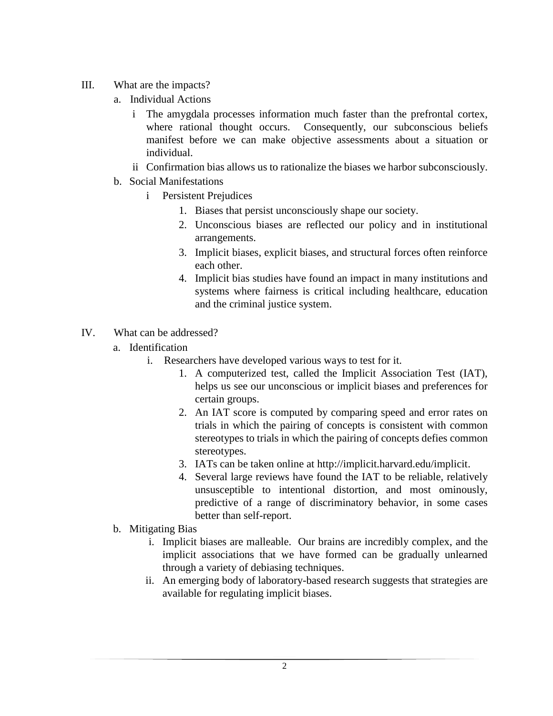- III. What are the impacts?
	- a. Individual Actions
		- i The amygdala processes information much faster than the prefrontal cortex, where rational thought occurs. Consequently, our subconscious beliefs manifest before we can make objective assessments about a situation or individual.
		- ii Confirmation bias allows us to rationalize the biases we harbor subconsciously.
	- b. Social Manifestations
		- i Persistent Prejudices
			- 1. Biases that persist unconsciously shape our society.
			- 2. Unconscious biases are reflected our policy and in institutional arrangements.
			- 3. Implicit biases, explicit biases, and structural forces often reinforce each other.
			- 4. Implicit bias studies have found an impact in many institutions and systems where fairness is critical including [healthcare,](http://www.ncbi.nlm.nih.gov/pubmed/23576243) [education](http://faculty.wcas.northwestern.edu/bodenhausen/PS03.pdf) and the [criminal justice system.](http://www-psych.stanford.edu/~mcslab/PublicationPDFs/Looking%20deathworthy.pdf)
- IV. What can be addressed?
	- a. Identification
		- i. Researchers have developed various ways to test for it.
			- 1. A computerized test, called the Implicit Association Test (IAT), helps us see our unconscious or implicit biases and preferences for certain groups.
			- 2. An IAT score is computed by comparing speed and error rates on trials in which the pairing of concepts is consistent with common stereotypes to trials in which the pairing of concepts defies common stereotypes.
			- 3. IATs can be taken online at [http://implicit.harvard.edu/implicit.](http://implicit.harvard.edu/implicit)
			- 4. Several large reviews have found the IAT to be reliable, relatively unsusceptible to intentional distortion, and most ominously, predictive of a range of discriminatory behavior, in some cases better than self-report.
	- b. Mitigating Bias
		- i. Implicit biases are malleable. Our brains are incredibly complex, and the implicit associations that we have formed can be gradually unlearned through a variety of debiasing techniques.
		- ii. An emerging body of laboratory-based research suggests that strategies are available for regulating implicit biases.